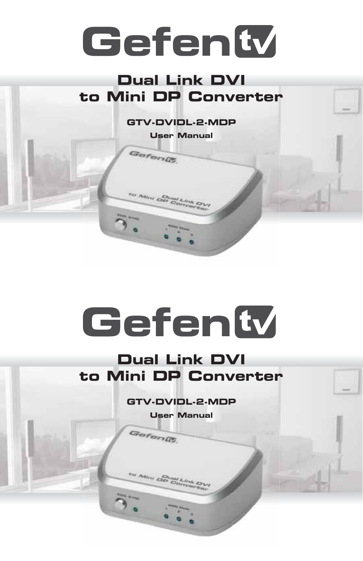# Gefenty

## **Dual Link DVI to Mini DP Converter**

**GTV-DVIDL-2-MDP**

**User Manual**

Gefen@

to Mini Op Converter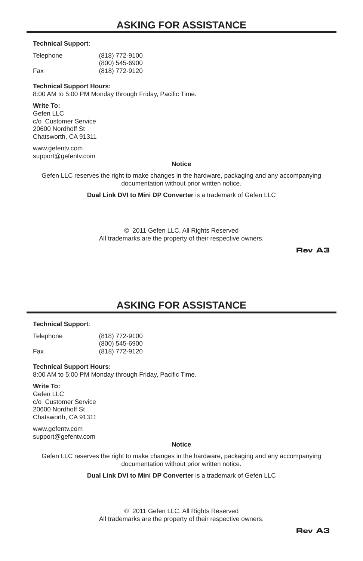## **ASKING FOR ASSISTANCE**

#### **Technical Support**:

| Telephone | (818) 772-9100 |
|-----------|----------------|
|           | (800) 545-6900 |
| Fax       | (818) 772-9120 |

#### **Technical Support Hours:**

8:00 AM to 5:00 PM Monday through Friday, Pacific Time.

#### **Write To:**

Gefen LLC c/o Customer Service 20600 Nordhoff St Chatsworth, CA 91311

www.gefentv.com support@gefenty.com

#### **Notice**

Gefen LLC reserves the right to make changes in the hardware, packaging and any accompanying documentation without prior written notice.

#### **Dual Link DVI to Mini DP Converter** is a trademark of Gefen LLC

© 2011 Gefen LLC, All Rights Reserved All trademarks are the property of their respective owners.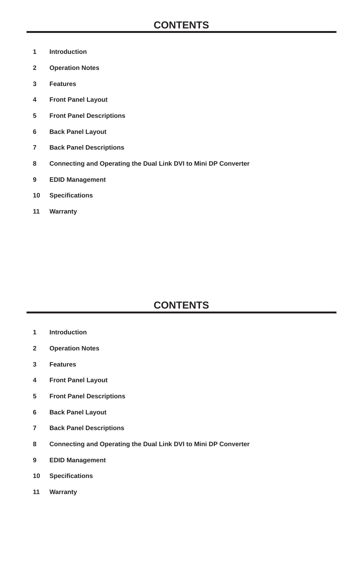## **CONTENTS**

- **1 Introduction**
- **2 Operation Notes**
- **3 Features**
- **4 Front Panel Layout**
- **5 Front Panel Descriptions**
- **6 Back Panel Layout**
- **7 Back Panel Descriptions**
- **8 Connecting and Operating the Dual Link DVI to Mini DP Converter**
- **9 EDID Management**
- **10 Specifi cations**
- **11 Warranty**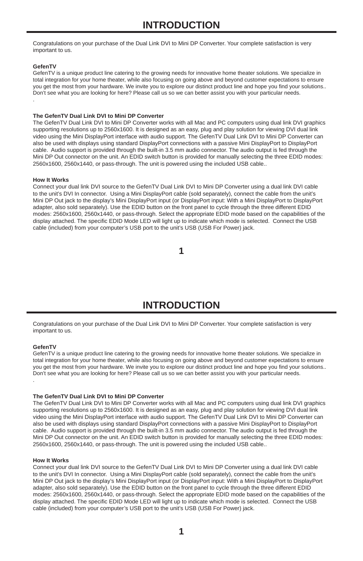## **INTRODUCTION**

Congratulations on your purchase of the Dual Link DVI to Mini DP Converter. Your complete satisfaction is very important to us.

#### **GefenTV**

.

GefenTV is a unique product line catering to the growing needs for innovative home theater solutions. We specialize in total integration for your home theater, while also focusing on going above and beyond customer expectations to ensure you get the most from your hardware. We invite you to explore our distinct product line and hope you find your solutions.. Don't see what you are looking for here? Please call us so we can better assist you with your particular needs.

#### **The GefenTV Dual Link DVI to Mini DP Converter**

The GefenTV Dual Link DVI to Mini DP Converter works with all Mac and PC computers using dual link DVI graphics supporting resolutions up to 2560x1600. It is designed as an easy, plug and play solution for viewing DVI dual link video using the Mini DisplayPort interface with audio support. The GefenTV Dual Link DVI to Mini DP Converter can also be used with displays using standard DisplayPort connections with a passive Mini DisplayPort to DisplayPort cable. Audio support is provided through the built-in 3.5 mm audio connector. The audio output is fed through the Mini DP Out connector on the unit. An EDID switch button is provided for manually selecting the three EDID modes: 2560x1600, 2560x1440, or pass-through. The unit is powered using the included USB cable..

#### **How It Works**

Connect your dual link DVI source to the GefenTV Dual Link DVI to Mini DP Converter using a dual link DVI cable to the unit's DVI In connector. Using a Mini DisplayPort cable (sold separately), connect the cable from the unit's Mini DP Out jack to the display's Mini DisplayPort input (or DisplayPort input: With a Mini DisplayPort to DisplayPort adapter, also sold separately). Use the EDID button on the front panel to cycle through the three different EDID modes: 2560x1600, 2560x1440, or pass-through. Select the appropriate EDID mode based on the capabilities of the display attached. The specific EDID Mode LED will light up to indicate which mode is selected. Connect the USB cable (included) from your computer's USB port to the unit's USB (USB For Power) jack.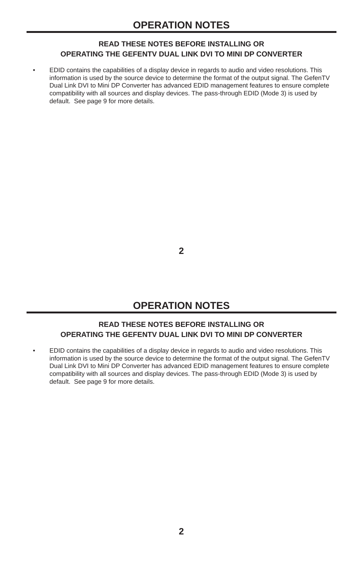#### **READ THESE NOTES BEFORE INSTALLING OR OPERATING THE GEFENTV DUAL LINK DVI TO MINI DP CONVERTER**

• EDID contains the capabilities of a display device in regards to audio and video resolutions. This information is used by the source device to determine the format of the output signal. The GefenTV Dual Link DVI to Mini DP Converter has advanced EDID management features to ensure complete compatibility with all sources and display devices. The pass-through EDID (Mode 3) is used by default. See page 9 for more details.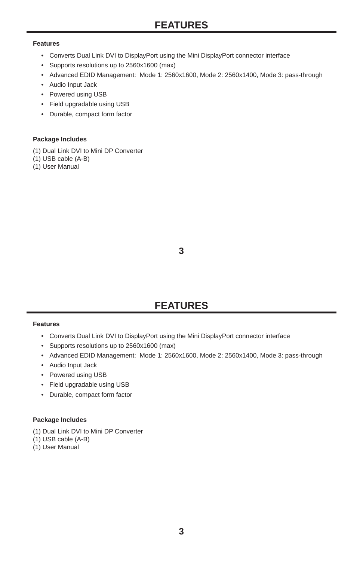## **FEATURES**

#### **Features**

- Converts Dual Link DVI to DisplayPort using the Mini DisplayPort connector interface
- Supports resolutions up to 2560x1600 (max)
- Advanced EDID Management: Mode 1: 2560x1600, Mode 2: 2560x1400, Mode 3: pass-through
- Audio Input Jack
- Powered using USB
- Field upgradable using USB
- Durable, compact form factor

#### **Package Includes**

- (1) Dual Link DVI to Mini DP Converter
- (1) USB cable (A-B)
- (1) User Manual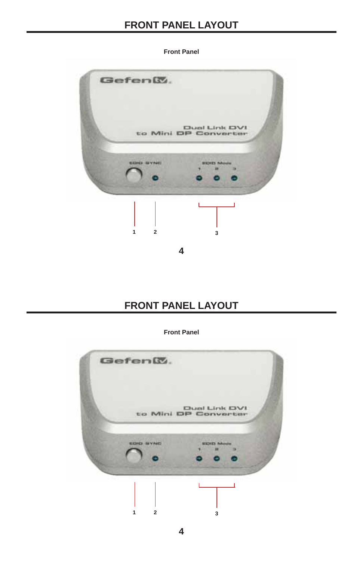## **FRONT PANEL LAYOUT**



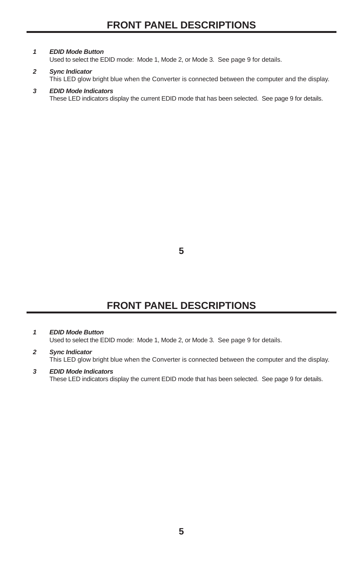#### *1 EDID Mode Button*

Used to select the EDID mode: Mode 1, Mode 2, or Mode 3. See page 9 for details.

#### *2 Sync Indicator*

This LED glow bright blue when the Converter is connected between the computer and the display.

#### *3 EDID Mode Indicators*

These LED indicators display the current EDID mode that has been selected. See page 9 for details.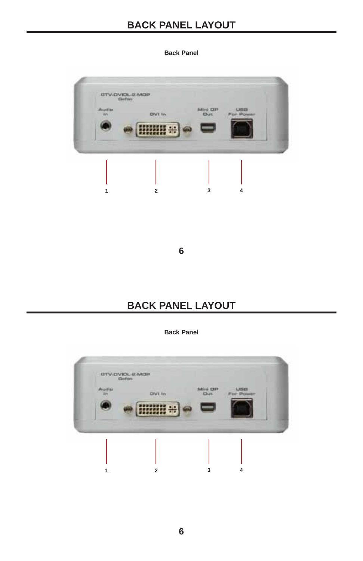## **BACK PANEL LAYOUT**

#### **Back Panel**

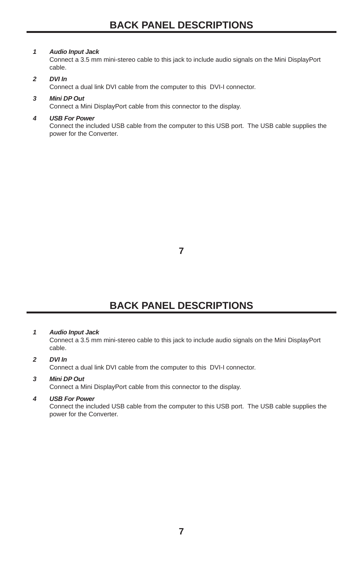## **BACK PANEL DESCRIPTIONS**

#### *1 Audio Input Jack*

Connect a 3.5 mm mini-stereo cable to this jack to include audio signals on the Mini DisplayPort cable.

#### *2 DVI In*

Connect a dual link DVI cable from the computer to this DVI-I connector.

#### *3 Mini DP Out*

Connect a Mini DisplayPort cable from this connector to the display.

#### *4 USB For Power*

Connect the included USB cable from the computer to this USB port. The USB cable supplies the power for the Converter.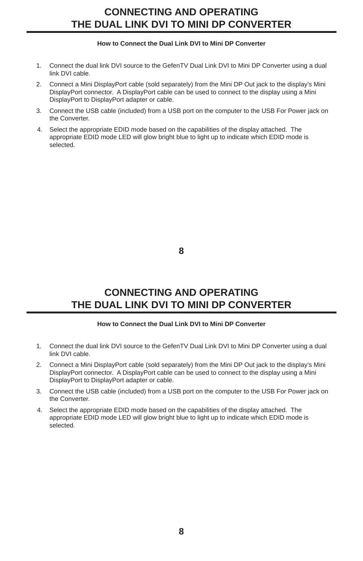## **CONNECTING AND OPERATING THE DUAL LINK DVI TO MINI DP CONVERTER**

#### **How to Connect the Dual Link DVI to Mini DP Converter**

- 1. Connect the dual link DVI source to the GefenTV Dual Link DVI to Mini DP Converter using a dual link DVI cable.
- 2. Connect a Mini DisplayPort cable (sold separately) from the Mini DP Out jack to the display's Mini DisplayPort connector. A DisplayPort cable can be used to connect to the display using a Mini DisplayPort to DisplayPort adapter or cable.
- 3. Connect the USB cable (included) from a USB port on the computer to the USB For Power jack on the Converter.
- 4. Select the appropriate EDID mode based on the capabilities of the display attached. The appropriate EDID mode LED will glow bright blue to light up to indicate which EDID mode is selected.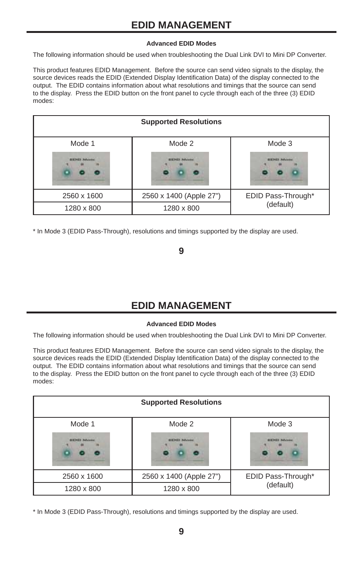#### **Advanced EDID Modes**

The following information should be used when troubleshooting the Dual Link DVI to Mini DP Converter.

This product features EDID Management. Before the source can send video signals to the display, the source devices reads the EDID (Extended Display Identification Data) of the display connected to the output. The EDID contains information about what resolutions and timings that the source can send to the display. Press the EDID button on the front panel to cycle through each of the three (3) EDID modes:

| <b>Supported Resolutions</b>           |                                |                              |  |
|----------------------------------------|--------------------------------|------------------------------|--|
| Mode 1                                 | Mode 2                         | Mode 3                       |  |
| <b><i>ALK ING It Mally looking</i></b> | <b>ALK Hold B. Mallacenter</b> | <b><i>BEETHER MALLAS</i></b> |  |
| 2560 x 1600                            | 2560 x 1400 (Apple 27")        | EDID Pass-Through*           |  |
| 1280 x 800                             | 1280 x 800                     | (default)                    |  |

\* In Mode 3 (EDID Pass-Through), resolutions and timings supported by the display are used.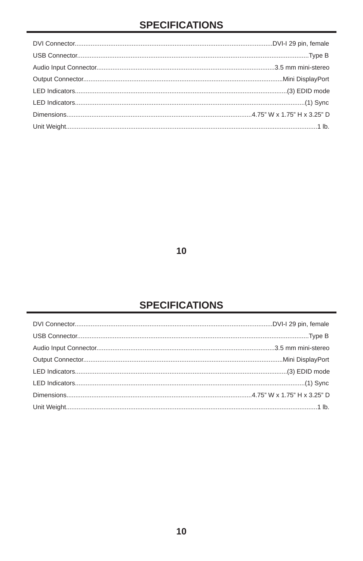## **SPECIFICATIONS**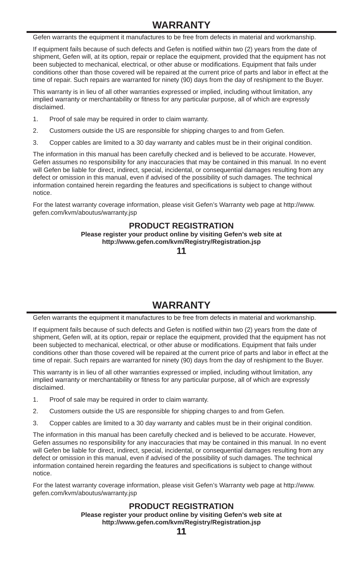## **WARRANTY**

Gefen warrants the equipment it manufactures to be free from defects in material and workmanship.

If equipment fails because of such defects and Gefen is notified within two (2) years from the date of shipment, Gefen will, at its option, repair or replace the equipment, provided that the equipment has not been subjected to mechanical, electrical, or other abuse or modifications. Equipment that fails under conditions other than those covered will be repaired at the current price of parts and labor in effect at the time of repair. Such repairs are warranted for ninety (90) days from the day of reshipment to the Buyer.

This warranty is in lieu of all other warranties expressed or implied, including without limitation, any implied warranty or merchantability or fitness for any particular purpose, all of which are expressly disclaimed.

- 1. Proof of sale may be required in order to claim warranty.
- 2. Customers outside the US are responsible for shipping charges to and from Gefen.
- 3. Copper cables are limited to a 30 day warranty and cables must be in their original condition.

The information in this manual has been carefully checked and is believed to be accurate. However, Gefen assumes no responsibility for any inaccuracies that may be contained in this manual. In no event will Gefen be liable for direct, indirect, special, incidental, or consequential damages resulting from any defect or omission in this manual, even if advised of the possibility of such damages. The technical information contained herein regarding the features and specifications is subject to change without notice.

For the latest warranty coverage information, please visit Gefen's Warranty web page at http://www. gefen.com/kvm/aboutus/warranty.jsp

#### **PRODUCT REGISTRATION**

**Please register your product online by visiting Gefen's web site at http://www.gefen.com/kvm/Registry/Registration.jsp**

**11**